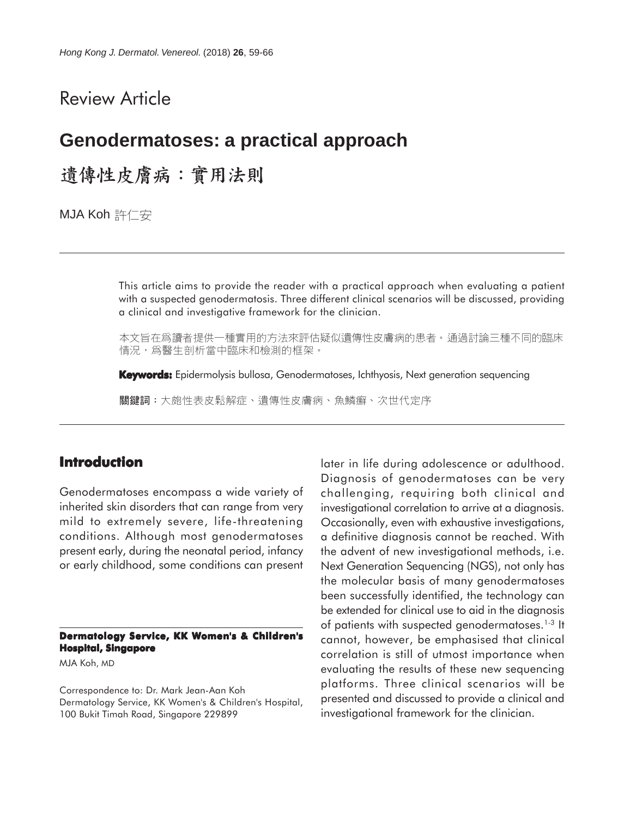# Review Article

# **Genodermatoses: a practical approach**

遺傳性皮膚病:實用法則

MJA Koh 許仁安

This article aims to provide the reader with a practical approach when evaluating a patient with a suspected genodermatosis. Three different clinical scenarios will be discussed, providing a clinical and investigative framework for the clinician.

本文旨在爲讀者提供一種實用的方法來評估疑似遺傳性皮膚病的患者。通過討論三種不同的臨床 情況,爲醫生剖析當中臨床和檢測的框架。

**Keywords:** Epidermolysis bullosa, Genodermatoses, Ichthyosis, Next generation sequencing

關鍵詞:大皰性表皮鬆解症、遺傳性皮膚病、魚鱗癬、次世代定序

# **Introduction**

Genodermatoses encompass a wide variety of inherited skin disorders that can range from very mild to extremely severe, life-threatening conditions. Although most genodermatoses present early, during the neonatal period, infancy or early childhood, some conditions can present

**Dermatology Service, KK Women's & Children's Hospital, Singapore**

MJA Koh, MD

Correspondence to: Dr. Mark Jean-Aan Koh Dermatology Service, KK Women's & Children's Hospital, 100 Bukit Timah Road, Singapore 229899

later in life during adolescence or adulthood. Diagnosis of genodermatoses can be very challenging, requiring both clinical and investigational correlation to arrive at a diagnosis. Occasionally, even with exhaustive investigations, a definitive diagnosis cannot be reached. With the advent of new investigational methods, i.e. Next Generation Sequencing (NGS), not only has the molecular basis of many genodermatoses been successfully identified, the technology can be extended for clinical use to aid in the diagnosis of patients with suspected genodermatoses.1-3 It cannot, however, be emphasised that clinical correlation is still of utmost importance when evaluating the results of these new sequencing platforms. Three clinical scenarios will be presented and discussed to provide a clinical and investigational framework for the clinician.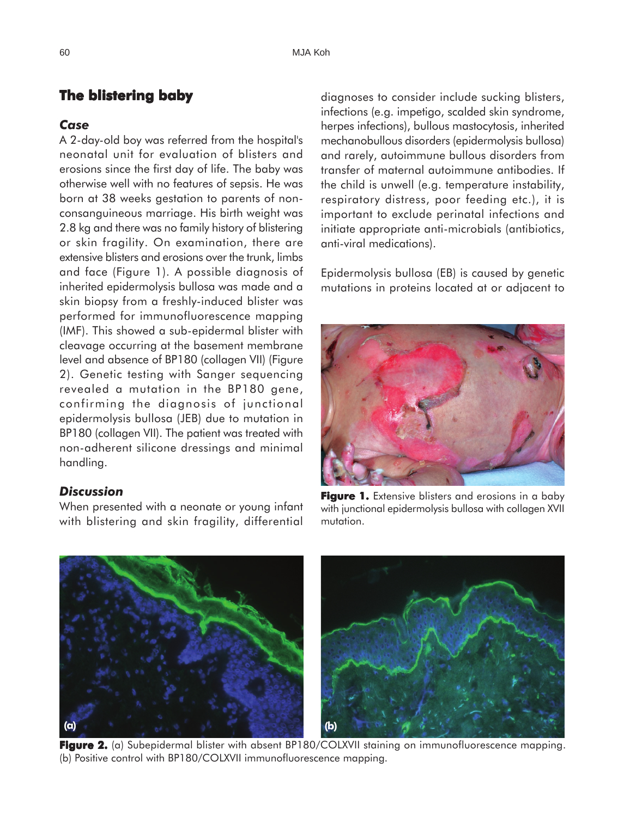# **The blistering baby**

#### *Case*

A 2-day-old boy was referred from the hospital's neonatal unit for evaluation of blisters and erosions since the first day of life. The baby was otherwise well with no features of sepsis. He was born at 38 weeks gestation to parents of nonconsanguineous marriage. His birth weight was 2.8 kg and there was no family history of blistering or skin fragility. On examination, there are extensive blisters and erosions over the trunk, limbs and face (Figure 1). A possible diagnosis of inherited epidermolysis bullosa was made and a skin biopsy from a freshly-induced blister was performed for immunofluorescence mapping (IMF). This showed a sub-epidermal blister with cleavage occurring at the basement membrane level and absence of BP180 (collagen VII) (Figure 2). Genetic testing with Sanger sequencing revealed a mutation in the BP180 gene, confirming the diagnosis of junctional epidermolysis bullosa (JEB) due to mutation in BP180 (collagen VII). The patient was treated with non-adherent silicone dressings and minimal handling.

#### *Discussion*

When presented with a neonate or young infant with blistering and skin fragility, differential diagnoses to consider include sucking blisters, infections (e.g. impetigo, scalded skin syndrome, herpes infections), bullous mastocytosis, inherited mechanobullous disorders (epidermolysis bullosa) and rarely, autoimmune bullous disorders from transfer of maternal autoimmune antibodies. If the child is unwell (e.g. temperature instability, respiratory distress, poor feeding etc.), it is important to exclude perinatal infections and initiate appropriate anti-microbials (antibiotics, anti-viral medications).

Epidermolysis bullosa (EB) is caused by genetic mutations in proteins located at or adjacent to



**Figure 1.** Extensive blisters and erosions in a baby with junctional epidermolysis bullosa with collagen XVII mutation.



**Figure 2. 2.** (a) Subepidermal blister with absent BP180/COLXVII staining on immunofluorescence mapping. (b) Positive control with BP180/COLXVII immunofluorescence mapping.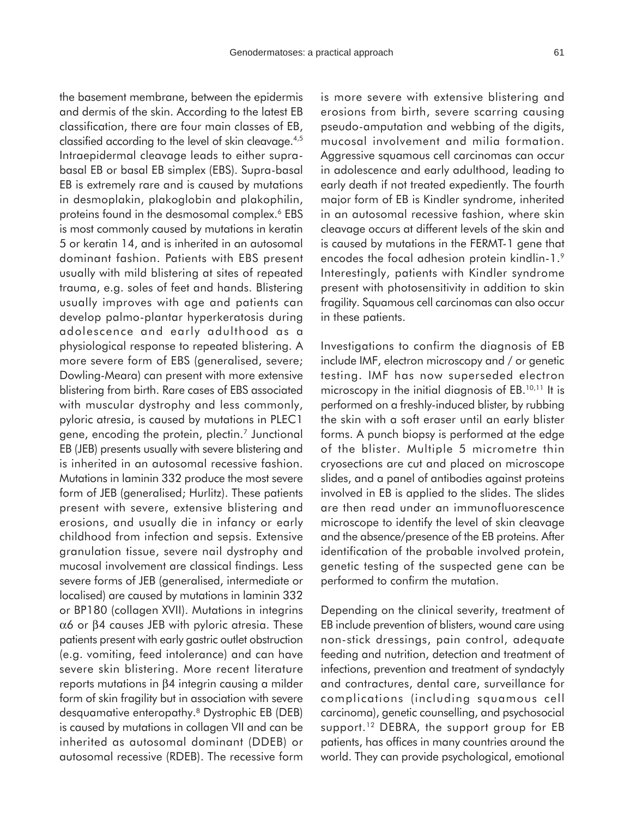the basement membrane, between the epidermis and dermis of the skin. According to the latest EB classification, there are four main classes of EB, classified according to the level of skin cleavage.4,5 Intraepidermal cleavage leads to either suprabasal EB or basal EB simplex (EBS). Supra-basal EB is extremely rare and is caused by mutations in desmoplakin, plakoglobin and plakophilin, proteins found in the desmosomal complex.<sup>6</sup> EBS is most commonly caused by mutations in keratin 5 or keratin 14, and is inherited in an autosomal dominant fashion. Patients with EBS present usually with mild blistering at sites of repeated trauma, e.g. soles of feet and hands. Blistering usually improves with age and patients can develop palmo-plantar hyperkeratosis during adolescence and early adulthood as a physiological response to repeated blistering. A more severe form of EBS (generalised, severe; Dowling-Meara) can present with more extensive blistering from birth. Rare cases of EBS associated with muscular dystrophy and less commonly, pyloric atresia, is caused by mutations in PLEC1 gene, encoding the protein, plectin.7 Junctional EB (JEB) presents usually with severe blistering and is inherited in an autosomal recessive fashion. Mutations in laminin 332 produce the most severe form of JEB (generalised; Hurlitz). These patients present with severe, extensive blistering and erosions, and usually die in infancy or early childhood from infection and sepsis. Extensive granulation tissue, severe nail dystrophy and mucosal involvement are classical findings. Less severe forms of JEB (generalised, intermediate or localised) are caused by mutations in laminin 332 or BP180 (collagen XVII). Mutations in integrins α6 or β4 causes JEB with pyloric atresia. These patients present with early gastric outlet obstruction (e.g. vomiting, feed intolerance) and can have severe skin blistering. More recent literature reports mutations in β4 integrin causing a milder form of skin fragility but in association with severe desquamative enteropathy.8 Dystrophic EB (DEB) is caused by mutations in collagen VII and can be inherited as autosomal dominant (DDEB) or autosomal recessive (RDEB). The recessive form is more severe with extensive blistering and erosions from birth, severe scarring causing pseudo-amputation and webbing of the digits, mucosal involvement and milia formation. Aggressive squamous cell carcinomas can occur in adolescence and early adulthood, leading to early death if not treated expediently. The fourth major form of EB is Kindler syndrome, inherited in an autosomal recessive fashion, where skin cleavage occurs at different levels of the skin and is caused by mutations in the FERMT-1 gene that encodes the focal adhesion protein kindlin-1.<sup>9</sup> Interestingly, patients with Kindler syndrome present with photosensitivity in addition to skin fragility. Squamous cell carcinomas can also occur in these patients.

Investigations to confirm the diagnosis of EB include IMF, electron microscopy and / or genetic testing. IMF has now superseded electron microscopy in the initial diagnosis of EB.<sup>10,11</sup> It is performed on a freshly-induced blister, by rubbing the skin with a soft eraser until an early blister forms. A punch biopsy is performed at the edge of the blister. Multiple 5 micrometre thin cryosections are cut and placed on microscope slides, and a panel of antibodies against proteins involved in EB is applied to the slides. The slides are then read under an immunofluorescence microscope to identify the level of skin cleavage and the absence/presence of the EB proteins. After identification of the probable involved protein, genetic testing of the suspected gene can be performed to confirm the mutation.

Depending on the clinical severity, treatment of EB include prevention of blisters, wound care using non-stick dressings, pain control, adequate feeding and nutrition, detection and treatment of infections, prevention and treatment of syndactyly and contractures, dental care, surveillance for complications (including squamous cell carcinoma), genetic counselling, and psychosocial support.<sup>12</sup> DEBRA, the support group for EB patients, has offices in many countries around the world. They can provide psychological, emotional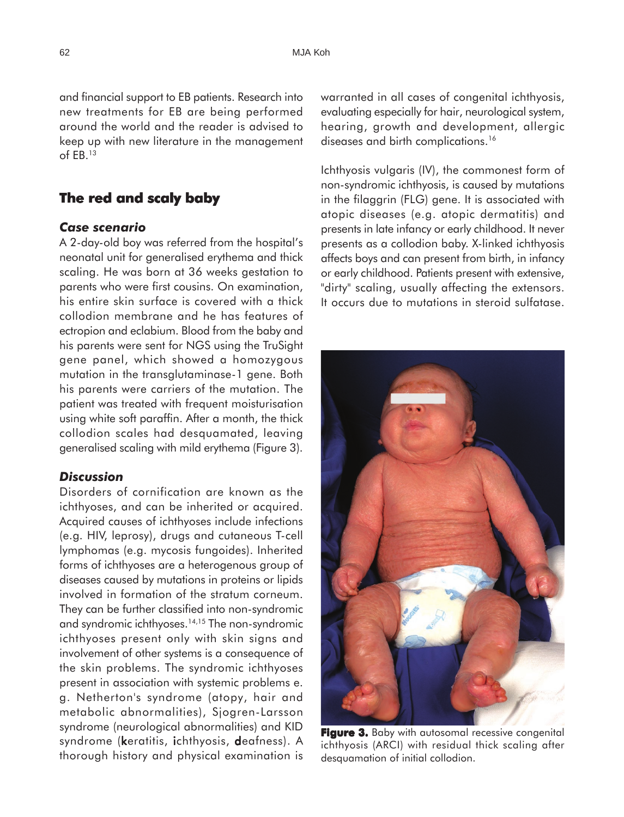and financial support to EB patients. Research into new treatments for EB are being performed around the world and the reader is advised to keep up with new literature in the management of EB.13

# **The red and scaly baby**

#### *Case scenario*

A 2-day-old boy was referred from the hospital's neonatal unit for generalised erythema and thick scaling. He was born at 36 weeks gestation to parents who were first cousins. On examination, his entire skin surface is covered with a thick collodion membrane and he has features of ectropion and eclabium. Blood from the baby and his parents were sent for NGS using the TruSight gene panel, which showed a homozygous mutation in the transglutaminase-1 gene. Both his parents were carriers of the mutation. The patient was treated with frequent moisturisation using white soft paraffin. After a month, the thick collodion scales had desquamated, leaving generalised scaling with mild erythema (Figure 3).

#### *Discussion*

Disorders of cornification are known as the ichthyoses, and can be inherited or acquired. Acquired causes of ichthyoses include infections (e.g. HIV, leprosy), drugs and cutaneous T-cell lymphomas (e.g. mycosis fungoides). Inherited forms of ichthyoses are a heterogenous group of diseases caused by mutations in proteins or lipids involved in formation of the stratum corneum. They can be further classified into non-syndromic and syndromic ichthyoses.14,15 The non-syndromic ichthyoses present only with skin signs and involvement of other systems is a consequence of the skin problems. The syndromic ichthyoses present in association with systemic problems e. g. Netherton's syndrome (atopy, hair and metabolic abnormalities), Sjogren-Larsson syndrome (neurological abnormalities) and KID syndrome (keratitis, ichthyosis, deafness). A thorough history and physical examination is

warranted in all cases of congenital ichthyosis, evaluating especially for hair, neurological system, hearing, growth and development, allergic diseases and birth complications.<sup>16</sup>

Ichthyosis vulgaris (IV), the commonest form of non-syndromic ichthyosis, is caused by mutations in the filaggrin (FLG) gene. It is associated with atopic diseases (e.g. atopic dermatitis) and presents in late infancy or early childhood. It never presents as a collodion baby. X-linked ichthyosis affects boys and can present from birth, in infancy or early childhood. Patients present with extensive, "dirty" scaling, usually affecting the extensors. It occurs due to mutations in steroid sulfatase.

**Figure 3.** Baby with autosomal recessive congenital

ichthyosis (ARCI) with residual thick scaling after desauamation of initial collodion.

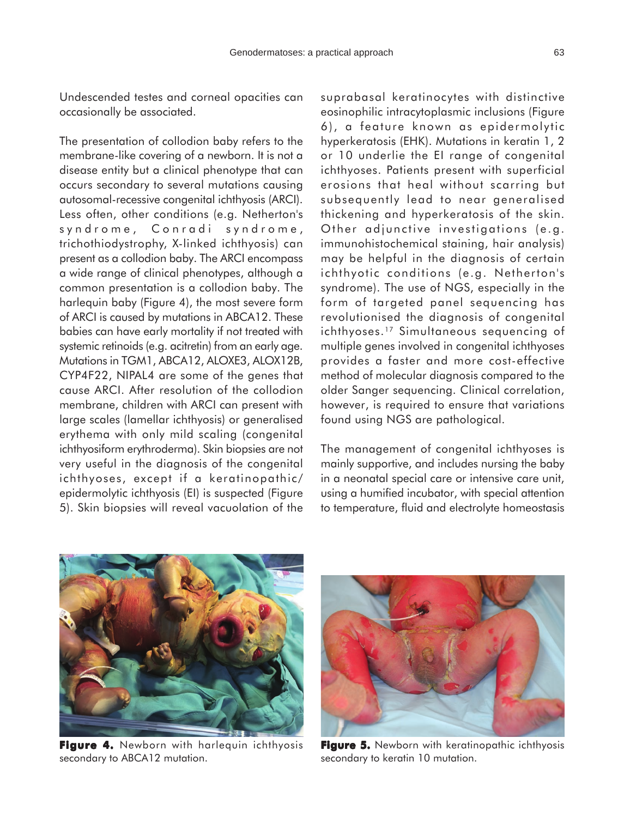Undescended testes and corneal opacities can occasionally be associated.

The presentation of collodion baby refers to the membrane-like covering of a newborn. It is not a disease entity but a clinical phenotype that can occurs secondary to several mutations causing autosomal-recessive congenital ichthyosis (ARCI). Less often, other conditions (e.g. Netherton's syndrome, Conradi syndrome, trichothiodystrophy, X-linked ichthyosis) can present as a collodion baby. The ARCI encompass a wide range of clinical phenotypes, although a common presentation is a collodion baby. The harlequin baby (Figure 4), the most severe form of ARCI is caused by mutations in ABCA12. These babies can have early mortality if not treated with systemic retinoids (e.g. acitretin) from an early age. Mutations in TGM1, ABCA12, ALOXE3, ALOX12B, CYP4F22, NIPAL4 are some of the genes that cause ARCI. After resolution of the collodion membrane, children with ARCI can present with large scales (lamellar ichthyosis) or generalised erythema with only mild scaling (congenital ichthyosiform erythroderma). Skin biopsies are not very useful in the diagnosis of the congenital ichthyoses, except if a keratinopathic/ epidermolytic ichthyosis (EI) is suspected (Figure 5). Skin biopsies will reveal vacuolation of the

suprabasal keratinocytes with distinctive eosinophilic intracytoplasmic inclusions (Figure 6), a feature known as epidermolytic hyperkeratosis (EHK). Mutations in keratin 1, 2 or 10 underlie the EI range of congenital ichthyoses. Patients present with superficial erosions that heal without scarring but subsequently lead to near generalised thickening and hyperkeratosis of the skin. Other adjunctive investigations (e.g. immunohistochemical staining, hair analysis) may be helpful in the diagnosis of certain ichthyotic conditions (e.g. Netherton's syndrome). The use of NGS, especially in the form of targeted panel sequencing has revolutionised the diagnosis of congenital ichthyoses.17 Simultaneous sequencing of multiple genes involved in congenital ichthyoses provides a faster and more cost-effective method of molecular diagnosis compared to the older Sanger sequencing. Clinical correlation, however, is required to ensure that variations found using NGS are pathological.

The management of congenital ichthyoses is mainly supportive, and includes nursing the baby in a neonatal special care or intensive care unit, using a humified incubator, with special attention to temperature, fluid and electrolyte homeostasis



Figure 4. Newborn with harlequin ichthyosis secondary to ABCA12 mutation.



**Figure 5.** Newborn with keratinopathic ichthyosis secondary to keratin 10 mutation.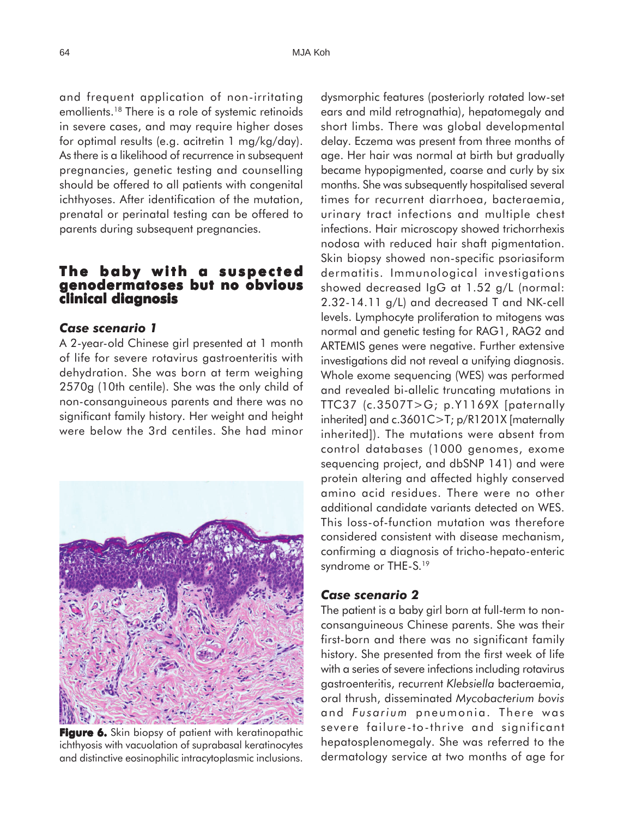and frequent application of non-irritating emollients.18 There is a role of systemic retinoids in severe cases, and may require higher doses for optimal results (e.g. acitretin 1 mg/kg/day). As there is a likelihood of recurrence in subsequent pregnancies, genetic testing and counselling should be offered to all patients with congenital ichthyoses. After identification of the mutation, prenatal or perinatal testing can be offered to parents during subsequent pregnancies.

### **The baby with a suspected genodermatoses but no obvious clinical diagnosis**

#### *Case scenario 1*

A 2-year-old Chinese girl presented at 1 month of life for severe rotavirus gastroenteritis with dehydration. She was born at term weighing 2570g (10th centile). She was the only child of non-consanguineous parents and there was no significant family history. Her weight and height were below the 3rd centiles. She had minor



**Figure 6.** Skin biopsy of patient with keratinopathic ichthyosis with vacuolation of suprabasal keratinocytes and distinctive eosinophilic intracytoplasmic inclusions.

dysmorphic features (posteriorly rotated low-set ears and mild retrognathia), hepatomegaly and short limbs. There was global developmental delay. Eczema was present from three months of age. Her hair was normal at birth but gradually became hypopigmented, coarse and curly by six months. She was subsequently hospitalised several times for recurrent diarrhoea, bacteraemia, urinary tract infections and multiple chest infections. Hair microscopy showed trichorrhexis nodosa with reduced hair shaft pigmentation. Skin biopsy showed non-specific psoriasiform dermatitis. Immunological investigations showed decreased IgG at 1.52 g/L (normal: 2.32-14.11 g/L) and decreased T and NK-cell levels. Lymphocyte proliferation to mitogens was normal and genetic testing for RAG1, RAG2 and ARTEMIS genes were negative. Further extensive investigations did not reveal a unifying diagnosis. Whole exome sequencing (WES) was performed and revealed bi-allelic truncating mutations in TTC37 (c.3507T>G; p.Y1169X [paternally inherited] and c.3601C>T; p/R1201X [maternally inherited]). The mutations were absent from control databases (1000 genomes, exome sequencing project, and dbSNP 141) and were protein altering and affected highly conserved amino acid residues. There were no other additional candidate variants detected on WES. This loss-of-function mutation was therefore considered consistent with disease mechanism, confirming a diagnosis of tricho-hepato-enteric syndrome or THE-S.19

#### *Case scenario 2*

The patient is a baby girl born at full-term to nonconsanguineous Chinese parents. She was their first-born and there was no significant family history. She presented from the first week of life with a series of severe infections including rotavirus gastroenteritis, recurrent *Klebsiella* bacteraemia, oral thrush, disseminated *Mycobacterium bovis* and *Fusarium* pneumonia. There was severe failure-to-thrive and significant hepatosplenomegaly. She was referred to the dermatology service at two months of age for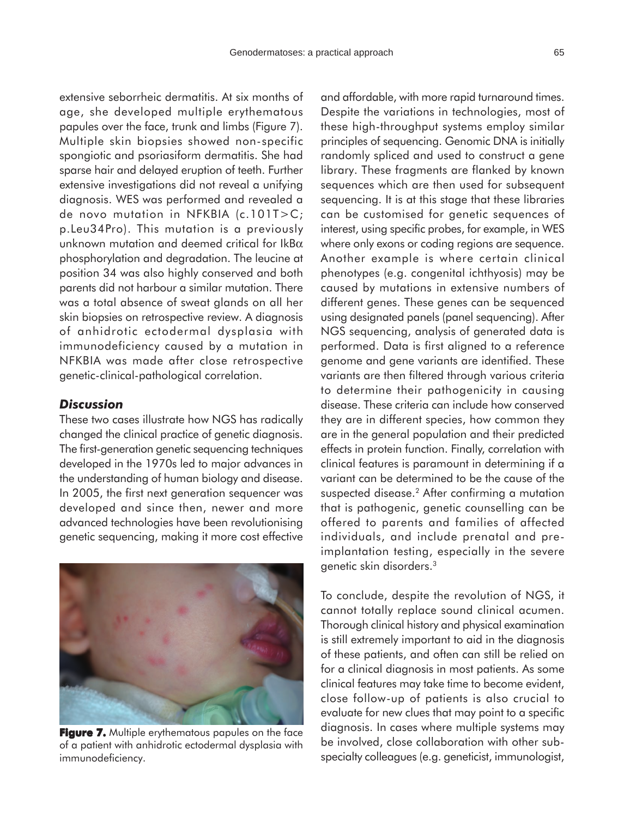extensive seborrheic dermatitis. At six months of age, she developed multiple erythematous papules over the face, trunk and limbs (Figure 7). Multiple skin biopsies showed non-specific spongiotic and psoriasiform dermatitis. She had sparse hair and delayed eruption of teeth. Further extensive investigations did not reveal a unifying diagnosis. WES was performed and revealed a de novo mutation in NFKBIA (c.101T>C; p.Leu34Pro). This mutation is a previously unknown mutation and deemed critical for IkB $\alpha$ phosphorylation and degradation. The leucine at position 34 was also highly conserved and both parents did not harbour a similar mutation. There was a total absence of sweat glands on all her skin biopsies on retrospective review. A diagnosis of anhidrotic ectodermal dysplasia with immunodeficiency caused by a mutation in NFKBIA was made after close retrospective genetic-clinical-pathological correlation.

### *Discussion*

These two cases illustrate how NGS has radically changed the clinical practice of genetic diagnosis. The first-generation genetic sequencing techniques developed in the 1970s led to major advances in the understanding of human biology and disease. In 2005, the first next generation sequencer was developed and since then, newer and more advanced technologies have been revolutionising genetic sequencing, making it more cost effective



**Figure 7.** Multiple erythematous papules on the face of a patient with anhidrotic ectodermal dysplasia with immunodeficiency.

and affordable, with more rapid turnaround times. Despite the variations in technologies, most of these high-throughput systems employ similar principles of sequencing. Genomic DNA is initially randomly spliced and used to construct a gene library. These fragments are flanked by known sequences which are then used for subsequent sequencing. It is at this stage that these libraries can be customised for genetic sequences of interest, using specific probes, for example, in WES where only exons or coding regions are sequence. Another example is where certain clinical phenotypes (e.g. congenital ichthyosis) may be caused by mutations in extensive numbers of different genes. These genes can be sequenced using designated panels (panel sequencing). After NGS sequencing, analysis of generated data is performed. Data is first aligned to a reference genome and gene variants are identified. These variants are then filtered through various criteria to determine their pathogenicity in causing disease. These criteria can include how conserved they are in different species, how common they are in the general population and their predicted effects in protein function. Finally, correlation with clinical features is paramount in determining if a variant can be determined to be the cause of the suspected disease.<sup>2</sup> After confirming a mutation that is pathogenic, genetic counselling can be offered to parents and families of affected individuals, and include prenatal and preimplantation testing, especially in the severe genetic skin disorders.3

To conclude, despite the revolution of NGS, it cannot totally replace sound clinical acumen. Thorough clinical history and physical examination is still extremely important to aid in the diagnosis of these patients, and often can still be relied on for a clinical diagnosis in most patients. As some clinical features may take time to become evident, close follow-up of patients is also crucial to evaluate for new clues that may point to a specific diagnosis. In cases where multiple systems may be involved, close collaboration with other subspecialty colleagues (e.g. geneticist, immunologist,